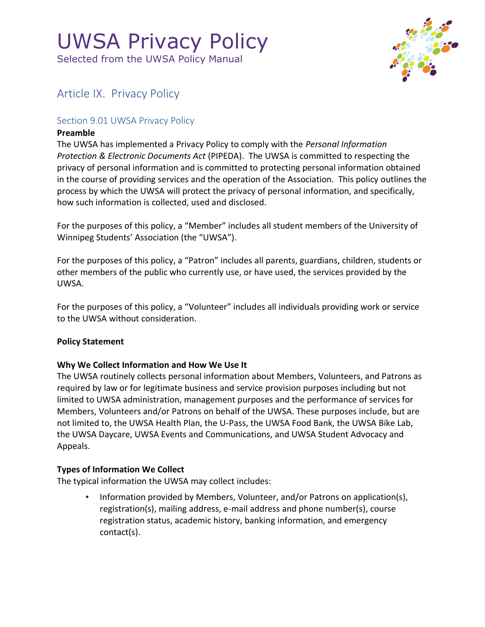Selected from the UWSA Policy Manual



### Article IX. Privacy Policy

#### Section 9.01 UWSA Privacy Policy

#### **Preamble**

The UWSA has implemented a Privacy Policy to comply with the *Personal Information Protection & Electronic Documents Act* (PIPEDA). The UWSA is committed to respecting the privacy of personal information and is committed to protecting personal information obtained in the course of providing services and the operation of the Association. This policy outlines the process by which the UWSA will protect the privacy of personal information, and specifically, how such information is collected, used and disclosed.

For the purposes of this policy, a "Member" includes all student members of the University of Winnipeg Students' Association (the "UWSA").

For the purposes of this policy, a "Patron" includes all parents, guardians, children, students or other members of the public who currently use, or have used, the services provided by the UWSA.

For the purposes of this policy, a "Volunteer" includes all individuals providing work or service to the UWSA without consideration.

#### **Policy Statement**

#### **Why We Collect Information and How We Use It**

The UWSA routinely collects personal information about Members, Volunteers, and Patrons as required by law or for legitimate business and service provision purposes including but not limited to UWSA administration, management purposes and the performance of services for Members, Volunteers and/or Patrons on behalf of the UWSA. These purposes include, but are not limited to, the UWSA Health Plan, the U-Pass, the UWSA Food Bank, the UWSA Bike Lab, the UWSA Daycare, UWSA Events and Communications, and UWSA Student Advocacy and Appeals.

#### **Types of Information We Collect**

The typical information the UWSA may collect includes:

• Information provided by Members, Volunteer, and/or Patrons on application(s), registration(s), mailing address, e-mail address and phone number(s), course registration status, academic history, banking information, and emergency contact(s).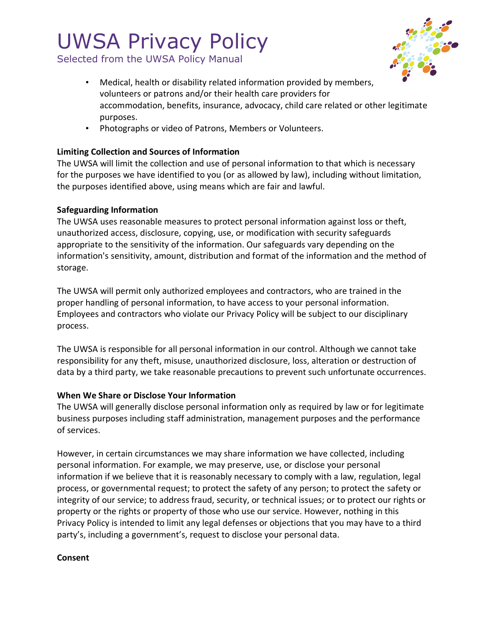Selected from the UWSA Policy Manual



- Medical, health or disability related information provided by members, volunteers or patrons and/or their health care providers for accommodation, benefits, insurance, advocacy, child care related or other legitimate purposes.
- Photographs or video of Patrons, Members or Volunteers.

#### **Limiting Collection and Sources of Information**

The UWSA will limit the collection and use of personal information to that which is necessary for the purposes we have identified to you (or as allowed by law), including without limitation, the purposes identified above, using means which are fair and lawful.

#### **Safeguarding Information**

The UWSA uses reasonable measures to protect personal information against loss or theft, unauthorized access, disclosure, copying, use, or modification with security safeguards appropriate to the sensitivity of the information. Our safeguards vary depending on the information's sensitivity, amount, distribution and format of the information and the method of storage.

The UWSA will permit only authorized employees and contractors, who are trained in the proper handling of personal information, to have access to your personal information. Employees and contractors who violate our Privacy Policy will be subject to our disciplinary process.

The UWSA is responsible for all personal information in our control. Although we cannot take responsibility for any theft, misuse, unauthorized disclosure, loss, alteration or destruction of data by a third party, we take reasonable precautions to prevent such unfortunate occurrences.

#### **When We Share or Disclose Your Information**

The UWSA will generally disclose personal information only as required by law or for legitimate business purposes including staff administration, management purposes and the performance of services.

However, in certain circumstances we may share information we have collected, including personal information. For example, we may preserve, use, or disclose your personal information if we believe that it is reasonably necessary to comply with a law, regulation, legal process, or governmental request; to protect the safety of any person; to protect the safety or integrity of our service; to address fraud, security, or technical issues; or to protect our rights or property or the rights or property of those who use our service. However, nothing in this Privacy Policy is intended to limit any legal defenses or objections that you may have to a third party's, including a government's, request to disclose your personal data.

#### **Consent**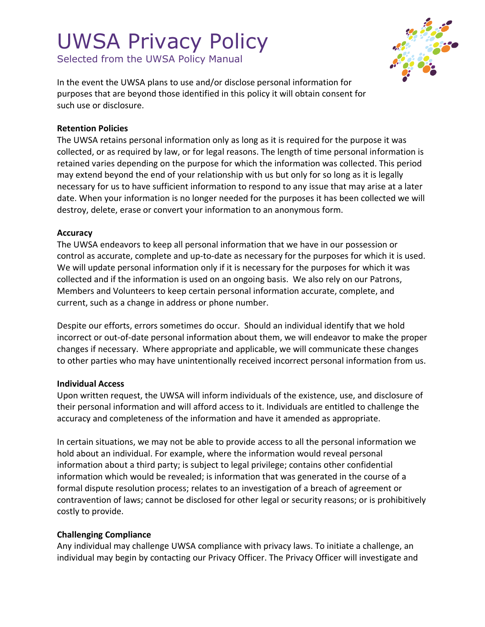Selected from the UWSA Policy Manual



In the event the UWSA plans to use and/or disclose personal information for purposes that are beyond those identified in this policy it will obtain consent for such use or disclosure.

#### **Retention Policies**

The UWSA retains personal information only as long as it is required for the purpose it was collected, or as required by law, or for legal reasons. The length of time personal information is retained varies depending on the purpose for which the information was collected. This period may extend beyond the end of your relationship with us but only for so long as it is legally necessary for us to have sufficient information to respond to any issue that may arise at a later date. When your information is no longer needed for the purposes it has been collected we will destroy, delete, erase or convert your information to an anonymous form.

#### **Accuracy**

The UWSA endeavors to keep all personal information that we have in our possession or control as accurate, complete and up-to-date as necessary for the purposes for which it is used. We will update personal information only if it is necessary for the purposes for which it was collected and if the information is used on an ongoing basis. We also rely on our Patrons, Members and Volunteers to keep certain personal information accurate, complete, and current, such as a change in address or phone number.

Despite our efforts, errors sometimes do occur. Should an individual identify that we hold incorrect or out-of-date personal information about them, we will endeavor to make the proper changes if necessary. Where appropriate and applicable, we will communicate these changes to other parties who may have unintentionally received incorrect personal information from us.

#### **Individual Access**

Upon written request, the UWSA will inform individuals of the existence, use, and disclosure of their personal information and will afford access to it. Individuals are entitled to challenge the accuracy and completeness of the information and have it amended as appropriate.

In certain situations, we may not be able to provide access to all the personal information we hold about an individual. For example, where the information would reveal personal information about a third party; is subject to legal privilege; contains other confidential information which would be revealed; is information that was generated in the course of a formal dispute resolution process; relates to an investigation of a breach of agreement or contravention of laws; cannot be disclosed for other legal or security reasons; or is prohibitively costly to provide.

#### **Challenging Compliance**

Any individual may challenge UWSA compliance with privacy laws. To initiate a challenge, an individual may begin by contacting our Privacy Officer. The Privacy Officer will investigate and